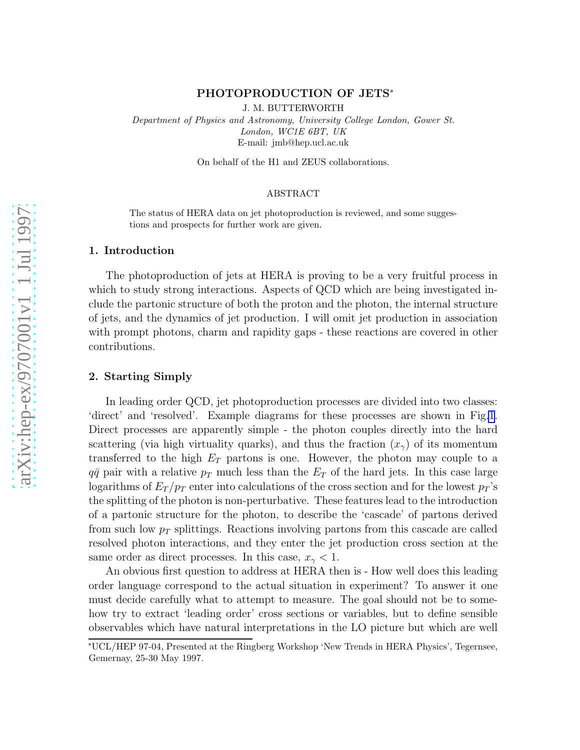# arXiv:hep-ex/9707001v1 1 Jul 1997 [arXiv:hep-ex/9707001v1 1 Jul 1997](http://arxiv.org/abs/hep-ex/9707001v1)

# PHOTOPRODUCTION OF JETS\*

J. M. BUTTERWORTH

Department of Physics and Astronomy, University College London, Gower St. London, WC1E 6BT, UK E-mail: jmb@hep.ucl.ac.uk

On behalf of the H1 and ZEUS collaborations.

# ABSTRACT

The status of HERA data on jet photoproduction is reviewed, and some suggestions and prospects for further work are given.

#### 1. Introduction

The photoproduction of jets at HERA is proving to be a very fruitful process in which to study strong interactions. Aspects of QCD which are being investigated include the partonic structure of both the proton and the photon, the internal structure of jets, and the dynamics of jet production. I will omit jet production in association with prompt photons, charm and rapidity gaps - these reactions are covered in other contributions.

#### 2. Starting Simply

In leading order QCD, jet photoproduction processes are divided into two classes: 'direct' and 'resolved'. Example diagrams for these processes are shown in Fig[.1](#page-1-0). Direct processes are apparently simple - the photon couples directly into the hard scattering (via high virtuality quarks), and thus the fraction  $(x_{\gamma})$  of its momentum transferred to the high  $E_T$  partons is one. However, the photon may couple to a  $q\bar{q}$  pair with a relative  $p_T$  much less than the  $E_T$  of the hard jets. In this case large logarithms of  $E_T/p_T$  enter into calculations of the cross section and for the lowest  $p_T$ 's the splitting of the photon is non-perturbative. These features lead to the introduction of a partonic structure for the photon, to describe the 'cascade' of partons derived from such low  $p_T$  splittings. Reactions involving partons from this cascade are called resolved photon interactions, and they enter the jet production cross section at the same order as direct processes. In this case,  $x_{\gamma} < 1$ .

An obvious first question to address at HERA then is - How well does this leading order language correspond to the actual situation in experiment? To answer it one must decide carefully what to attempt to measure. The goal should not be to somehow try to extract 'leading order' cross sections or variables, but to define sensible observables which have natural interpretations in the LO picture but which are well

<sup>∗</sup>UCL/HEP 97-04, Presented at the Ringberg Workshop 'New Trends in HERA Physics', Tegernsee, Gemernay, 25-30 May 1997.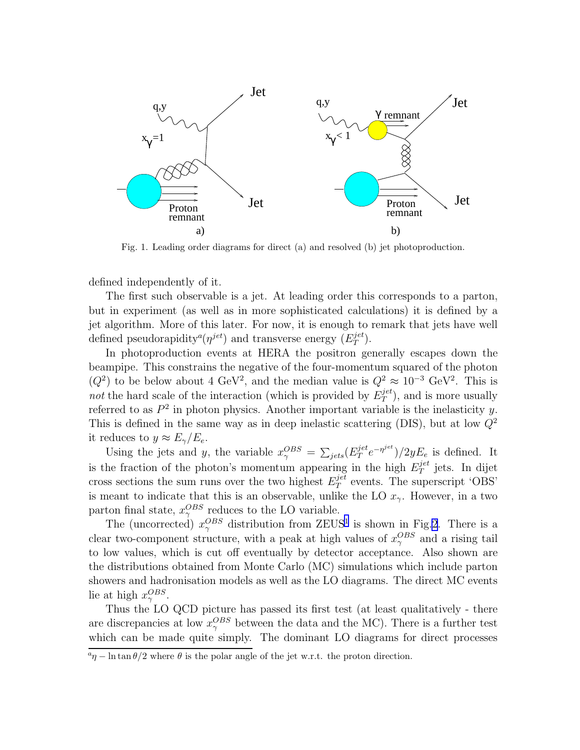<span id="page-1-0"></span>

Fig. 1. Leading order diagrams for direct (a) and resolved (b) jet photoproduction.

defined independently of it.

The first such observable is a jet. At leading order this corresponds to a parton, but in experiment (as well as in more sophisticated calculations) it is defined by a jet algorithm. More of this later. For now, it is enough to remark that jets have well defined pseudorapidity<sup>*a*</sup>( $\eta^{jet}$ ) and transverse energy ( $E_T^{jet}$ )  $_{T}^{\ _{jet}\text{)}}.$ 

In photoproduction events at HERA the positron generally escapes down the beampipe. This constrains the negative of the four-momentum squared of the photon  $(Q^2)$  to be below about 4 GeV<sup>2</sup>, and the median value is  $Q^2 \approx 10^{-3}$  GeV<sup>2</sup>. This is not the hard scale of the interaction (which is provided by  $E_T^{jet}$  $T^{jet}$ ), and is more usually referred to as  $P^2$  in photon physics. Another important variable is the inelasticity y. This is defined in the same way as in deep inelastic scattering (DIS), but at low  $Q^2$ it reduces to  $y \approx E_{\gamma}/E_e$ .

Using the jets and y, the variable  $x_{\gamma}^{OBS} = \sum_{jets} (E_T^{jet})$  $j^{jet}_T e^{-\eta^{jet}})/2yE_e$  is defined. It is the fraction of the photon's momentum appearing in the high  $E_T^{jet}$  $T^{\text{jet}}$  jets. In dijet cross sections the sum runs over the two highest  $E_T^{jet}$  $T^{\text{pert}}$  events. The superscript 'OBS' is meant to indicate that this is an observable, unlike the LO  $x_{\gamma}$ . However, in a two parton final state,  $x_{\gamma}^{OBS}$  reduces to the LO variable.

The (uncorrected)  $x_{\gamma}^{OBS}$  distribution from ZEUS<sup>[1](#page-10-0)</sup> is shown in Fig[.2](#page-2-0). There is a clear two-component structure, with a peak at high values of  $x_{\gamma}^{OBS}$  and a rising tail to low values, which is cut off eventually by detector acceptance. Also shown are the distributions obtained from Monte Carlo (MC) simulations which include parton showers and hadronisation models as well as the LO diagrams. The direct MC events lie at high  $x_{\gamma}^{OBS}$ .

Thus the LO QCD picture has passed its first test (at least qualitatively - there are discrepancies at low  $x_{\gamma}^{OBS}$  between the data and the MC). There is a further test which can be made quite simply. The dominant LO diagrams for direct processes

 $a_{\eta}$  – ln tan  $\theta/2$  where  $\theta$  is the polar angle of the jet w.r.t. the proton direction.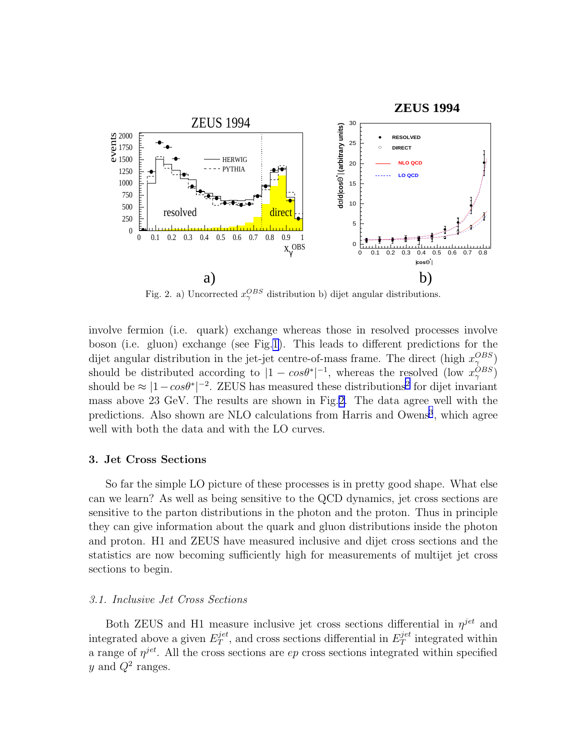<span id="page-2-0"></span>

Fig. 2. a) Uncorrected  $x_{\gamma}^{OBS}$  distribution b) dijet angular distributions.

involve fermion (i.e. quark) exchange whereas those in resolved processes involve boson (i.e. gluon) exchange (see Fig[.1](#page-1-0)). This leads to different predictions for the dijet angular distribution in the jet-jet centre-of-mass frame. The direct (high  $x_{\gamma}^{OBS}$ ) should be distributed according to  $|1 - cos\theta^*|^{-1}$ , whereas the resolved (low  $x_\gamma^{OBS}$ ) should be  $\approx |1 - \cos\theta^*|^{-2}$  $\approx |1 - \cos\theta^*|^{-2}$  $\approx |1 - \cos\theta^*|^{-2}$ . ZEUS has measured these distributions<sup>2</sup> for dijet invariant mass above 23 GeV. The results are shown in Fig.2. The data agree well with the predictions. Also shown are NLO calculations from Harris and Owens<sup>[3](#page-10-0)</sup>, which agree well with both the data and with the LO curves.

#### 3. Jet Cross Sections

So far the simple LO picture of these processes is in pretty good shape. What else can we learn? As well as being sensitive to the QCD dynamics, jet cross sections are sensitive to the parton distributions in the photon and the proton. Thus in principle they can give information about the quark and gluon distributions inside the photon and proton. H1 and ZEUS have measured inclusive and dijet cross sections and the statistics are now becoming sufficiently high for measurements of multijet jet cross sections to begin.

# 3.1. Inclusive Jet Cross Sections

Both ZEUS and H1 measure inclusive jet cross sections differential in  $\eta^{jet}$  and integrated above a given  $E_T^{jet}$  $T^{jet}$ , and cross sections differential in  $E_T^{jet}$  $T^{jet}$  integrated within a range of  $\eta^{jet}$ . All the cross sections are  $ep$  cross sections integrated within specified y and  $Q^2$  ranges.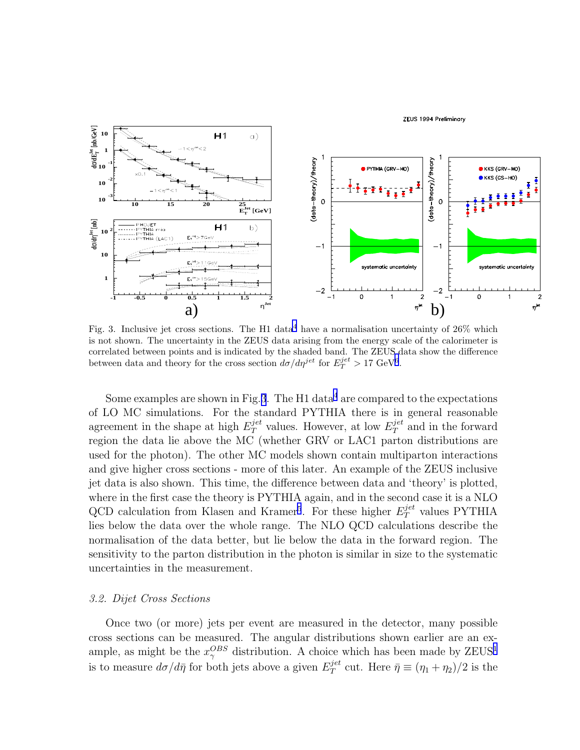

Fig. 3. Inclusive jet cross sections. The H1 data<sup>[4](#page-10-0)</sup> have a normalisation uncertainty of 26% which is not shown. The uncertainty in the ZEUS data arising from the energy scale of the calorimeter is correlated between points and is indicated by the shaded band. The ZEUS data show the difference between data and theory for the cross section  $d\sigma/d\eta^{jet}$  for  $E_T^{jet} > 17 \text{ GeV}^6$  $E_T^{jet} > 17 \text{ GeV}^6$ .

Some examples are shown in Fig.3. The H1 data<sup>[4](#page-10-0)</sup> are compared to the expectations of LO MC simulations. For the standard PYTHIA there is in general reasonable agreement in the shape at high  $E_T^{jet}$  values. However, at low  $E_T^{jet}$  and in the forward region the data lie above the MC (whether GRV or LAC1 parton distributions are used for the photon). The other MC models shown contain multiparton interactions and give higher cross sections - more of this later. An example of the ZEUS inclusive jet data is also shown. This time, the difference between data and 'theory' is plotted, where in the first case the theory is PYTHIA again, and in the second case it is a NLO QCD calculation from Klasen and Kramer<sup>[5](#page-10-0)</sup>. For these higher  $E_T^{jet}$  values PYTHIA lies below the data over the whole range. The NLO QCD calculations describe the normalisation of the data better, but lie below the data in the forward region. The sensitivity to the parton distribution in the photon is similar in size to the systematic uncertainties in the measurement.

# 3.2. Dijet Cross Sections

Once two (or more) jets per event are measured in the detector, many possible cross sections can be measured. The angular distributions shown earlier are an example, as might be the  $x_{\gamma}^{OBS}$  distribution. A choice which has been made by ZEUS<sup>[1](#page-10-0)</sup> is to measure  $d\sigma/d\bar{\eta}$  for both jets above a given  $E_T^{jet}$  $T^{\text{jet}}$  cut. Here  $\bar{\eta} \equiv (\eta_1 + \eta_2)/2$  is the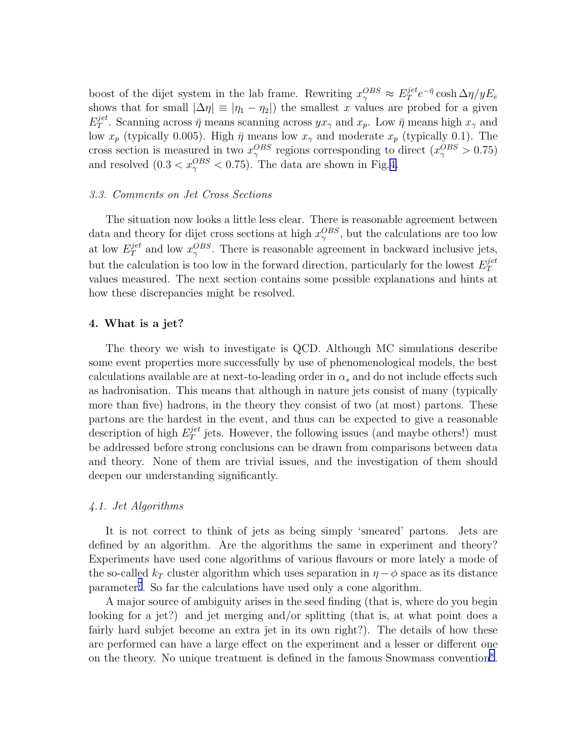boost of the dijet system in the lab frame. Rewriting  $x_{\gamma}^{OBS} \approx E_T^{jet}$  $T^{jet}e^{-\bar{\eta}}\cosh\Delta\eta/yE_e$ shows that for small  $|\Delta \eta| \equiv |\eta_1 - \eta_2|$  the smallest x values are probed for a given  $E_T^{jet}$  $T^{\text{jet}}$ . Scanning across  $\bar{\eta}$  means scanning across  $yx_{\gamma}$  and  $x_p$ . Low  $\bar{\eta}$  means high  $x_{\gamma}$  and low  $x_p$  (typically 0.005). High  $\bar{\eta}$  means low  $x_{\gamma}$  and moderate  $x_p$  (typically 0.1). The cross section is measured in two  $x_{\gamma}^{OBS}$  regions corresponding to direct  $(x_{\gamma}^{OBS} > 0.75)$ and resolved  $(0.3 < x_{\gamma}^{OBS} < 0.75)$ . The data are shown in Fig.[4.](#page-5-0)

#### 3.3. Comments on Jet Cross Sections

The situation now looks a little less clear. There is reasonable agreement between data and theory for dijet cross sections at high  $x_{\gamma}^{OBS}$ , but the calculations are too low at low  $E_T^{jet}$  $T^{jet}_T$  and low  $x^{OBS}_\gamma$ . There is reasonable agreement in backward inclusive jets, but the calculation is too low in the forward direction, particularly for the lowest  $E_T^{jet}$ T values measured. The next section contains some possible explanations and hints at how these discrepancies might be resolved.

#### 4. What is a jet?

The theory we wish to investigate is QCD. Although MC simulations describe some event properties more successfully by use of phenomenological models, the best calculations available are at next-to-leading order in  $\alpha_s$  and do not include effects such as hadronisation. This means that although in nature jets consist of many (typically more than five) hadrons, in the theory they consist of two (at most) partons. These partons are the hardest in the event, and thus can be expected to give a reasonable description of high  $E_T^{jet}$  $T<sup>jet</sup>$  jets. However, the following issues (and maybe others!) must be addressed before strong conclusions can be drawn from comparisons between data and theory. None of them are trivial issues, and the investigation of them should deepen our understanding significantly.

# 4.1. Jet Algorithms

It is not correct to think of jets as being simply 'smeared' partons. Jets are defined by an algorithm. Are the algorithms the same in experiment and theory? Experiments have used cone algorithms of various flavours or more lately a mode of the so-called  $k_T$  cluster algorithm which uses separation in  $\eta - \phi$  space as its distance parameter<sup>[7](#page-11-0)</sup>. So far the calculations have used only a cone algorithm.

A major source of ambiguity arises in the seed finding (that is, where do you begin looking for a jet?) and jet merging and/or splitting (that is, at what point does a fairly hard subjet become an extra jet in its own right?). The details of how these are performed can have a large effect on the experiment and a lesser or different one on the theory. No unique treatment is defined in the famous Snowmass convention<sup>[8](#page-11-0)</sup>.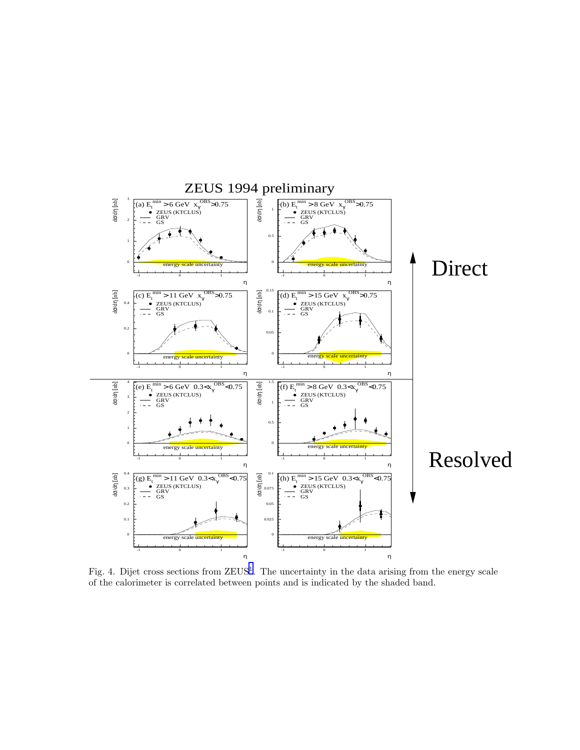<span id="page-5-0"></span>

Fig. 4. Dijet cross sections from ZEUS<sup>[1](#page-10-0)</sup>. The uncertainty in the data arising from the energy scale of the calorimeter is correlated between points and is indicated by the shaded band.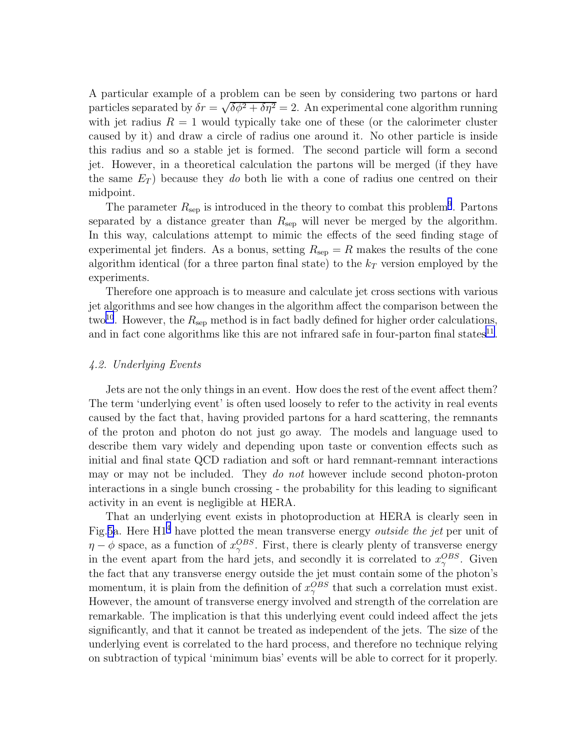A particular example of a problem can be seen by considering two partons or hard particles separated by  $\delta r = \sqrt{\delta \phi^2 + \delta \eta^2} = 2$ . An experimental cone algorithm running with jet radius  $R = 1$  would typically take one of these (or the calorimeter cluster caused by it) and draw a circle of radius one around it. No other particle is inside this radius and so a stable jet is formed. The second particle will form a second jet. However, in a theoretical calculation the partons will be merged (if they have the same  $E_T$ ) because they do both lie with a cone of radius one centred on their midpoint.

The parameter  $R_{\rm sep}$  is introduced in the theory to combat this problem<sup>[9](#page-11-0)</sup>. Partons separated by a distance greater than  $R_{\rm sep}$  will never be merged by the algorithm. In this way, calculations attempt to mimic the effects of the seed finding stage of experimental jet finders. As a bonus, setting  $R_{\rm sep} = R$  makes the results of the cone algorithm identical (for a three parton final state) to the  $k_T$  version employed by the experiments.

Therefore one approach is to measure and calculate jet cross sections with various jet algorithms and see how changes in the algorithm affect the comparison between the two<sup>[10](#page-11-0)</sup>. However, the  $R_{\rm sep}$  method is in fact badly defined for higher order calculations, and in fact cone algorithms like this are not infrared safe in four-parton final states $^{11}$  $^{11}$  $^{11}$ .

# 4.2. Underlying Events

Jets are not the only things in an event. How does the rest of the event affect them? The term 'underlying event' is often used loosely to refer to the activity in real events caused by the fact that, having provided partons for a hard scattering, the remnants of the proton and photon do not just go away. The models and language used to describe them vary widely and depending upon taste or convention effects such as initial and final state QCD radiation and soft or hard remnant-remnant interactions may or may not be included. They *do not* however include second photon-proton interactions in a single bunch crossing - the probability for this leading to significant activity in an event is negligible at HERA.

That an underlying event exists in photoproduction at HERA is clearly seen in Fig.[5a](#page-7-0). Here  $H1<sup>4</sup>$  $H1<sup>4</sup>$  $H1<sup>4</sup>$  have plotted the mean transverse energy *outside the jet* per unit of  $\eta - \phi$  space, as a function of  $x_{\gamma}^{OBS}$ . First, there is clearly plenty of transverse energy in the event apart from the hard jets, and secondly it is correlated to  $x_{\gamma}^{OBS}$ . Given the fact that any transverse energy outside the jet must contain some of the photon's momentum, it is plain from the definition of  $x_{\gamma}^{OBS}$  that such a correlation must exist. However, the amount of transverse energy involved and strength of the correlation are remarkable. The implication is that this underlying event could indeed affect the jets significantly, and that it cannot be treated as independent of the jets. The size of the underlying event is correlated to the hard process, and therefore no technique relying on subtraction of typical 'minimum bias' events will be able to correct for it properly.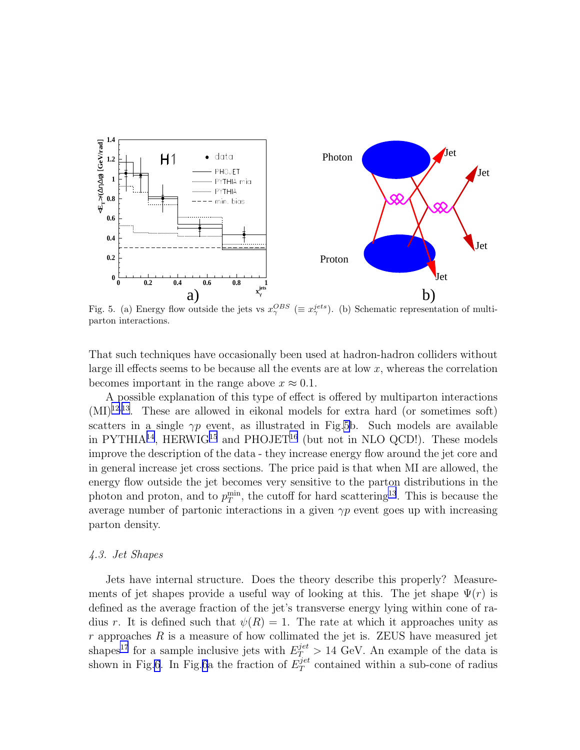<span id="page-7-0"></span>

Fig. 5. (a) Energy flow outside the jets vs  $x_{\gamma}^{OBS}$  ( $\equiv x_{\gamma}^{jets}$ ). (b) Schematic representation of multiparton interactions.

That such techniques have occasionally been used at hadron-hadron colliders without large ill effects seems to be because all the events are at low  $x$ , whereas the correlation becomes important in the range above  $x \approx 0.1$ .

A possible explanation of this type of effect is offered by multiparton interactions  $(MI)^{12,13}$  $(MI)^{12,13}$  $(MI)^{12,13}$  $(MI)^{12,13}$  $(MI)^{12,13}$ . These are allowed in eikonal models for extra hard (or sometimes soft) scatters in a single  $\gamma p$  event, as illustrated in Fig.5b. Such models are available in PYTHIA<sup>[14](#page-11-0)</sup>, HERWIG<sup>[15](#page-11-0)</sup> and PHOJET<sup>[16](#page-11-0)</sup> (but not in NLO QCD!). These models improve the description of the data - they increase energy flow around the jet core and in general increase jet cross sections. The price paid is that when MI are allowed, the energy flow outside the jet becomes very sensitive to the parton distributions in the photon and proton, and to  $p_T^{\min}$ , the cutoff for hard scattering<sup>[13](#page-11-0)</sup>. This is because the average number of partonic interactions in a given  $\gamma p$  event goes up with increasing parton density.

#### 4.3. Jet Shapes

Jets have internal structure. Does the theory describe this properly? Measurements of jet shapes provide a useful way of looking at this. The jet shape  $\Psi(r)$  is defined as the average fraction of the jet's transverse energy lying within cone of radius r. It is defined such that  $\psi(R) = 1$ . The rate at which it approaches unity as  $r$  approaches  $R$  is a measure of how collimated the jet is. ZEUS have measured jet shapes<sup>[17](#page-11-0)</sup> for a sample inclusive jets with  $E_T^{jet} > 14$  GeV. An example of the data is shown in Fig[.6](#page-8-0). In Fig.[6](#page-8-0)a the fraction of  $E_T^{jet}$  $T<sup>jet</sup>$  contained within a sub-cone of radius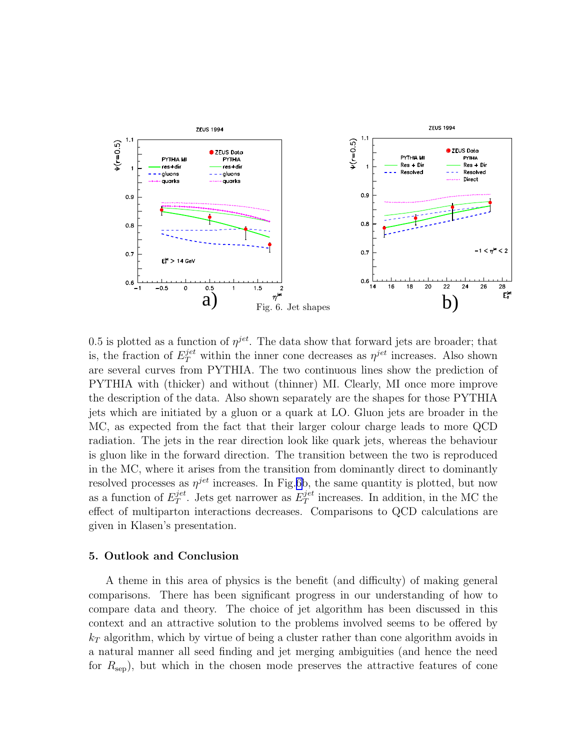<span id="page-8-0"></span>

0.5 is plotted as a function of  $\eta^{jet}$ . The data show that forward jets are broader; that is, the fraction of  $E_T^{jet}$  within the inner cone decreases as  $\eta^{jet}$  increases. Also shown are several curves from PYTHIA. The two continuous lines show the prediction of PYTHIA with (thicker) and without (thinner) MI. Clearly, MI once more improve the description of the data. Also shown separately are the shapes for those PYTHIA jets which are initiated by a gluon or a quark at LO. Gluon jets are broader in the MC, as expected from the fact that their larger colour charge leads to more QCD radiation. The jets in the rear direction look like quark jets, whereas the behaviour is gluon like in the forward direction. The transition between the two is reproduced in the MC, where it arises from the transition from dominantly direct to dominantly resolved processes as  $\eta^{jet}$  increases. In Fig.6b, the same quantity is plotted, but now as a function of  $E_T^{jet}$  $T^{jet}_{T}$ . Jets get narrower as  $E_{T}^{jet}$  $T<sup>jet</sup>$  increases. In addition, in the MC the effect of multiparton interactions decreases. Comparisons to QCD calculations are given in Klasen's presentation.

# 5. Outlook and Conclusion

A theme in this area of physics is the benefit (and difficulty) of making general comparisons. There has been significant progress in our understanding of how to compare data and theory. The choice of jet algorithm has been discussed in this context and an attractive solution to the problems involved seems to be offered by  $k<sub>T</sub>$  algorithm, which by virtue of being a cluster rather than cone algorithm avoids in a natural manner all seed finding and jet merging ambiguities (and hence the need for  $R_{\rm sep}$ , but which in the chosen mode preserves the attractive features of cone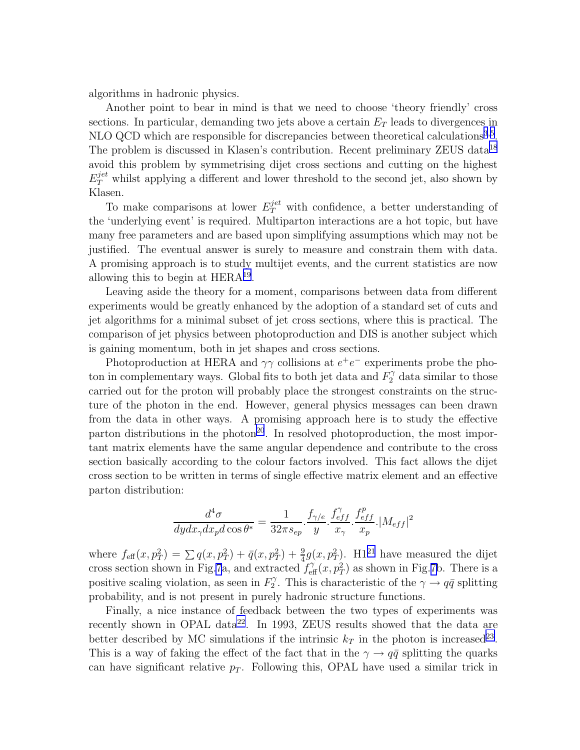algorithms in hadronic physics.

Another point to bear in mind is that we need to choose 'theory friendly' cross sections. In particular, demanding two jets above a certain  $E_T$  leads to divergences in NLO QCD which are responsible for discrepancies between theoretical calculations<sup>[3](#page-10-0),[5](#page-10-0)</sup>. The problem is discussed in Klasen's contribution. Recent preliminary ZEUS data<sup>[18](#page-11-0)</sup> avoid this problem by symmetrising dijet cross sections and cutting on the highest  $E_T^{jet}$  whilst applying a different and lower threshold to the second jet, also shown by Klasen.

To make comparisons at lower  $E_T^{jet}$  with confidence, a better understanding of the 'underlying event' is required. Multiparton interactions are a hot topic, but have many free parameters and are based upon simplifying assumptions which may not be justified. The eventual answer is surely to measure and constrain them with data. A promising approach is to study multijet events, and the current statistics are now allowing this to begin at HERA[19](#page-11-0) .

Leaving aside the theory for a moment, comparisons between data from different experiments would be greatly enhanced by the adoption of a standard set of cuts and jet algorithms for a minimal subset of jet cross sections, where this is practical. The comparison of jet physics between photoproduction and DIS is another subject which is gaining momentum, both in jet shapes and cross sections.

Photoproduction at HERA and  $\gamma\gamma$  collisions at  $e^+e^-$  experiments probe the photon in complementary ways. Global fits to both jet data and  $F_2^{\gamma}$  data similar to those carried out for the proton will probably place the strongest constraints on the structure of the photon in the end. However, general physics messages can been drawn from the data in other ways. A promising approach here is to study the effective parton distributions in the photon<sup>[20](#page-11-0)</sup>. In resolved photoproduction, the most important matrix elements have the same angular dependence and contribute to the cross section basically according to the colour factors involved. This fact allows the dijet cross section to be written in terms of single effective matrix element and an effective parton distribution:

$$
\frac{d^4\sigma}{dydx_\gamma dx_p d\cos\theta^*} = \frac{1}{32\pi s_{ep}} \cdot \frac{f_{\gamma/e}}{y} \cdot \frac{f_{eff}^{\gamma}}{x_\gamma} \cdot \frac{f_{eff}^p}{x_p} \cdot |M_{eff}|^2
$$

where  $f_{\text{eff}}(x, p_T^2) = \sum q(x, p_T^2) + \bar{q}(x, p_T^2) + \frac{9}{4}g(x, p_T^2)$ . H1<sup>[21](#page-11-0)</sup> have measured the dijet cross section shown in Fig[.7](#page-10-0)a, and extracted  $f_{\text{eff}}^{\gamma}(x, p_T^2)$  as shown in Fig.[7b](#page-10-0). There is a positive scaling violation, as seen in  $F_2^{\gamma}$  $2^{\gamma}$ . This is characteristic of the  $\gamma \rightarrow q\bar{q}$  splitting probability, and is not present in purely hadronic structure functions.

Finally, a nice instance of feedback between the two types of experiments was recently shown in OPAL data<sup>[22](#page-11-0)</sup>. In 1993, ZEUS results showed that the data are better described by MC simulations if the intrinsic  $k_T$  in the photon is increased<sup>[23](#page-11-0)</sup>. This is a way of faking the effect of the fact that in the  $\gamma \rightarrow q\bar{q}$  splitting the quarks can have significant relative  $p_T$ . Following this, OPAL have used a similar trick in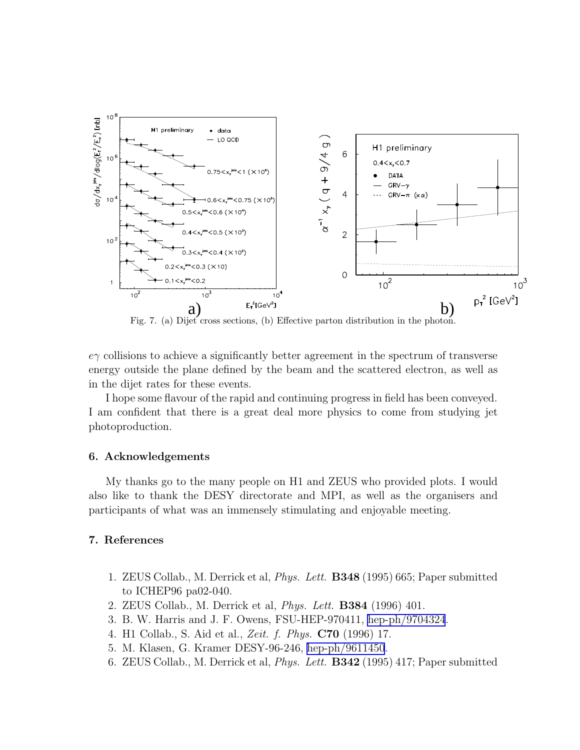<span id="page-10-0"></span>

Fig. 7. (a) Dijet cross sections, (b) Effective parton distribution in the photon.

 $e\gamma$  collisions to achieve a significantly better agreement in the spectrum of transverse energy outside the plane defined by the beam and the scattered electron, as well as in the dijet rates for these events.

I hope some flavour of the rapid and continuing progress in field has been conveyed. I am confident that there is a great deal more physics to come from studying jet photoproduction.

#### 6. Acknowledgements

My thanks go to the many people on H1 and ZEUS who provided plots. I would also like to thank the DESY directorate and MPI, as well as the organisers and participants of what was an immensely stimulating and enjoyable meeting.

# 7. References

- 1. ZEUS Collab., M. Derrick et al, Phys. Lett. B348 (1995) 665; Paper submitted to ICHEP96 pa02-040.
- 2. ZEUS Collab., M. Derrick et al, Phys. Lett. B384 (1996) 401.
- 3. B. W. Harris and J. F. Owens, FSU-HEP-970411, [hep-ph/9704324](http://arxiv.org/abs/hep-ph/9704324).
- 4. H1 Collab., S. Aid et al., Zeit. f. Phys. C70 (1996) 17.
- 5. M. Klasen, G. Kramer DESY-96-246, [hep-ph/9611450](http://arxiv.org/abs/hep-ph/9611450).
- 6. ZEUS Collab., M. Derrick et al, Phys. Lett. B342 (1995) 417; Paper submitted